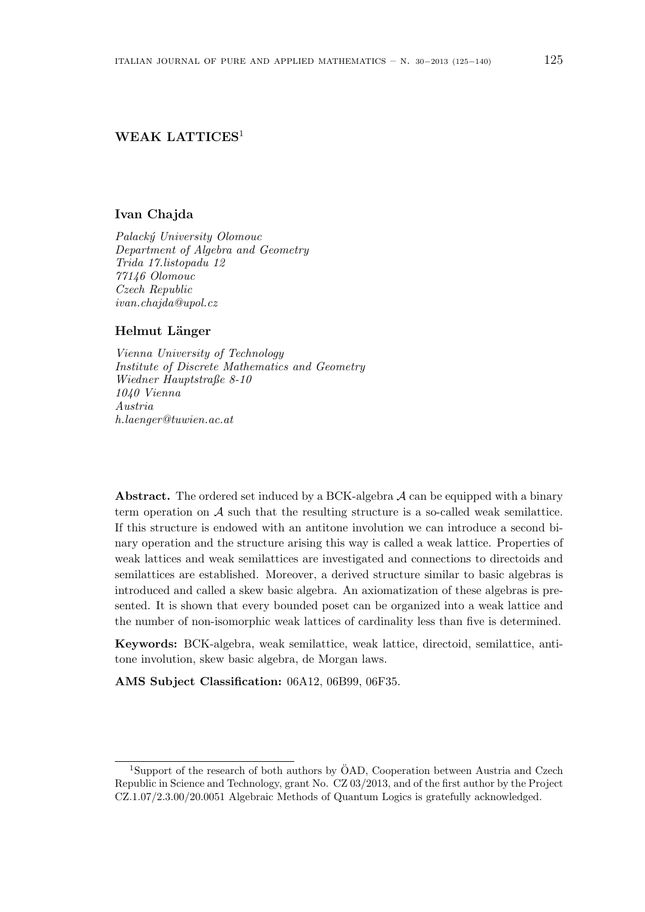# **WEAK LATTICES**<sup>1</sup>

### **Ivan Chajda**

*Palack´y University Olomouc Department of Algebra and Geometry Trida 17.listopadu 12 77146 Olomouc Czech Republic ivan.chajda@upol.cz*

### **Helmut L¨anger**

*Vienna University of Technology Institute of Discrete Mathematics and Geometry Wiedner Hauptstraße 8-10 1040 Vienna Austria h.laenger@tuwien.ac.at*

Abstract. The ordered set induced by a BCK-algebra A can be equipped with a binary term operation on  $A$  such that the resulting structure is a so-called weak semilattice. If this structure is endowed with an antitone involution we can introduce a second binary operation and the structure arising this way is called a weak lattice. Properties of weak lattices and weak semilattices are investigated and connections to directoids and semilattices are established. Moreover, a derived structure similar to basic algebras is introduced and called a skew basic algebra. An axiomatization of these algebras is presented. It is shown that every bounded poset can be organized into a weak lattice and the number of non-isomorphic weak lattices of cardinality less than five is determined.

**Keywords:** BCK-algebra, weak semilattice, weak lattice, directoid, semilattice, antitone involution, skew basic algebra, de Morgan laws.

**AMS Subject Classification:** 06A12, 06B99, 06F35.

<sup>&</sup>lt;sup>1</sup>Support of the research of both authors by  $\ddot{O}AD$ , Cooperation between Austria and Czech Republic in Science and Technology, grant No. CZ 03/2013, and of the first author by the Project CZ.1.07/2.3.00/20.0051 Algebraic Methods of Quantum Logics is gratefully acknowledged.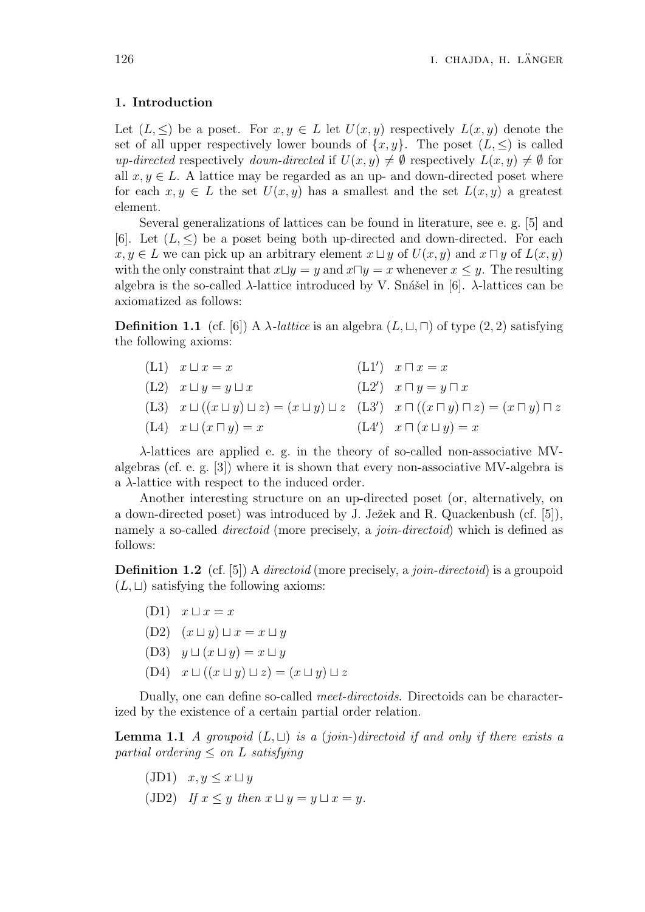### **1. Introduction**

Let  $(L, \leq)$  be a poset. For  $x, y \in L$  let  $U(x, y)$  respectively  $L(x, y)$  denote the set of all upper respectively lower bounds of  $\{x, y\}$ . The poset  $(L, \leq)$  is called *up-directed* respectively *down-directed* if  $U(x, y) \neq \emptyset$  respectively  $L(x, y) \neq \emptyset$  for all  $x, y \in L$ . A lattice may be regarded as an up- and down-directed poset where for each  $x, y \in L$  the set  $U(x, y)$  has a smallest and the set  $L(x, y)$  a greatest element.

Several generalizations of lattices can be found in literature, see e. g. [5] and [6]. Let  $(L, \leq)$  be a poset being both up-directed and down-directed. For each *x, y* ∈ *L* we can pick up an arbitrary element  $x \sqcup y$  of  $U(x, y)$  and  $x \sqcap y$  of  $L(x, y)$ with the only constraint that  $x \sqcup y = y$  and  $x \sqcap y = x$  whenever  $x \leq y$ . The resulting algebra is the so-called  $\lambda$ -lattice introduced by V. Snášel in [6].  $\lambda$ -lattices can be axiomatized as follows:

**Definition 1.1** (cf. [6]) A *λ*-*lattice* is an algebra  $(L, \sqcup, \sqcap)$  of type  $(2, 2)$  satisfying the following axioms:

 $(L1)$   $x \sqcup x = x$  $(L1')$  *x*  $⊓$  *x* = *x*  $(L2)$   $x \sqcup y = y \sqcup x$  $(L2')$  *x*  $\Box y = y \Box x$  $(L3)$   $x \sqcup ((x \sqcup y) \sqcup z) = (x \sqcup y) \sqcup z$   $(L3')$   $x \sqcap ((x \sqcap y) \sqcap z) = (x \sqcap y) \sqcap z$  $(L4)$  *x* □  $(x \square y) = x$  $(L4')$  *x*  $□$   $(x ∪ y) = x$ 

*λ*-lattices are applied e. g. in the theory of so-called non-associative MValgebras (cf. e. g. [3]) where it is shown that every non-associative MV-algebra is a *λ*-lattice with respect to the induced order.

Another interesting structure on an up-directed poset (or, alternatively, on a down-directed poset) was introduced by J. Ježek and R. Quackenbush (cf. [5]), namely a so-called *directoid* (more precisely, a *join-directoid*) which is defined as follows:

**Definition 1.2** (cf. [5]) A *directoid* (more precisely, a *join-directoid*) is a groupoid  $(L, \sqcup)$  satisfying the following axioms:

- $(D1)$   $x \sqcup x = x$
- $(D2)$   $(x \sqcup y) \sqcup x = x \sqcup y$
- (D3)  $y \sqcup (x \sqcup y) = x \sqcup y$
- (D4) *x ⊔* ((*x ⊔ y*) *⊔ z*) = (*x ⊔ y*) *⊔ z*

Dually, one can define so-called *meet-directoids*. Directoids can be characterized by the existence of a certain partial order relation.

**Lemma 1.1** *A groupoid*  $(L, \sqcup)$  *is a* (*join-*)*directoid if and only if there exists a partial ordering*  $\leq$  *on L satisfying* 

- $(JD1)$   $x, y \leq x \sqcup y$
- (JD2) If  $x \leq y$  then  $x \sqcup y = y \sqcup x = y$ .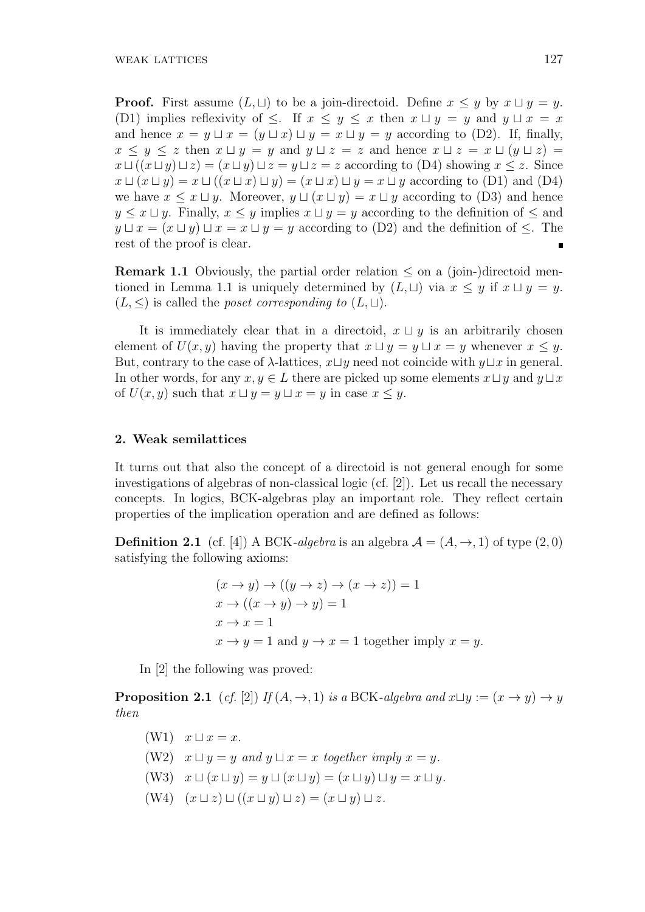**Proof.** First assume  $(L, \sqcup)$  to be a join-directoid. Define  $x \leq y$  by  $x \sqcup y = y$ . (D1) implies reflexivity of  $\leq$ . If  $x \leq y \leq x$  then  $x \sqcup y = y$  and  $y \sqcup x = x$ and hence  $x = y \sqcup x = (y \sqcup x) \sqcup y = x \sqcup y = y$  according to (D2). If, finally,  $x \leq y \leq z$  then  $x \sqcup y = y$  and  $y \sqcup z = z$  and hence  $x \sqcup z = x \sqcup (y \sqcup z) = z$ *x*  $\sqcup$  ((*x*  $\sqcup$  *y*)  $\sqcup$  *z*) = (*x*  $\sqcup$  *y*)  $\sqcup$  *z* = *z* according to (D4) showing *x* < *z*. Since *x*  $\sqcup$  (*x*  $\sqcup$  *y*) = *x*  $\sqcup$  ((*x*  $\sqcup$  *x*)  $\sqcup$  *y*) = (*x*  $\sqcup$  *x*)  $\sqcup$  *y* = *x*  $\sqcup$  *y* according to (D1) and (D4) we have  $x \leq x \sqcup y$ . Moreover,  $y \sqcup (x \sqcup y) = x \sqcup y$  according to (D3) and hence *y*  $\leq$  *x*  $\sqcup$  *y*. Finally, *x*  $\leq$  *y* implies *x*  $\sqcup$  *y* = *y* according to the definition of  $\leq$  and *y*  $\sqcup x = (x \sqcup y) \sqcup x = x \sqcup y = y$  according to (D2) and the definition of  $\leq$ . The rest of the proof is clear.  $\blacksquare$ 

**Remark 1.1** Obviously, the partial order relation  $\leq$  on a (join-)directoid mentioned in Lemma 1.1 is uniquely determined by  $(L, \sqcup)$  via  $x \leq y$  if  $x \sqcup y = y$ .  $(L, \leq)$  is called the *poset corresponding to*  $(L, \sqcup)$ .

It is immediately clear that in a directoid,  $x \sqcup y$  is an arbitrarily chosen element of  $U(x, y)$  having the property that  $x \sqcup y = y \sqcup x = y$  whenever  $x \leq y$ . But, contrary to the case of  $\lambda$ -lattices,  $x \sqcup y$  need not coincide with  $y \sqcup x$  in general. In other words, for any  $x, y \in L$  there are picked up some elements  $x \sqcup y$  and  $y \sqcup x$ of  $U(x, y)$  such that  $x \sqcup y = y \sqcup x = y$  in case  $x \leq y$ .

## **2. Weak semilattices**

It turns out that also the concept of a directoid is not general enough for some investigations of algebras of non-classical logic (cf. [2]). Let us recall the necessary concepts. In logics, BCK-algebras play an important role. They reflect certain properties of the implication operation and are defined as follows:

**Definition 2.1** (cf. [4]) A BCK-algebra is an algebra  $\mathcal{A} = (A, \rightarrow, 1)$  of type  $(2, 0)$ satisfying the following axioms:

$$
(x \to y) \to ((y \to z) \to (x \to z)) = 1
$$
  
\n
$$
x \to ((x \to y) \to y) = 1
$$
  
\n
$$
x \to x = 1
$$
  
\n
$$
x \to y = 1 \text{ and } y \to x = 1 \text{ together imply } x = y.
$$

In [2] the following was proved:

**Proposition 2.1** (*cf.* [2]) *If*  $(A, \rightarrow, 1)$  *is a* BCK*-algebra and*  $x \sqcup y := (x \rightarrow y) \rightarrow y$ *then*

(W1) 
$$
x \sqcup x = x
$$
.  
\n(W2)  $x \sqcup y = y$  and  $y \sqcup x = x$  together imply  $x = y$ .  
\n(W3)  $x \sqcup (x \sqcup y) = y \sqcup (x \sqcup y) = (x \sqcup y) \sqcup y = x \sqcup y$ .

 $(W4)$   $(x \sqcup z) \sqcup ((x \sqcup y) \sqcup z) = (x \sqcup y) \sqcup z$ .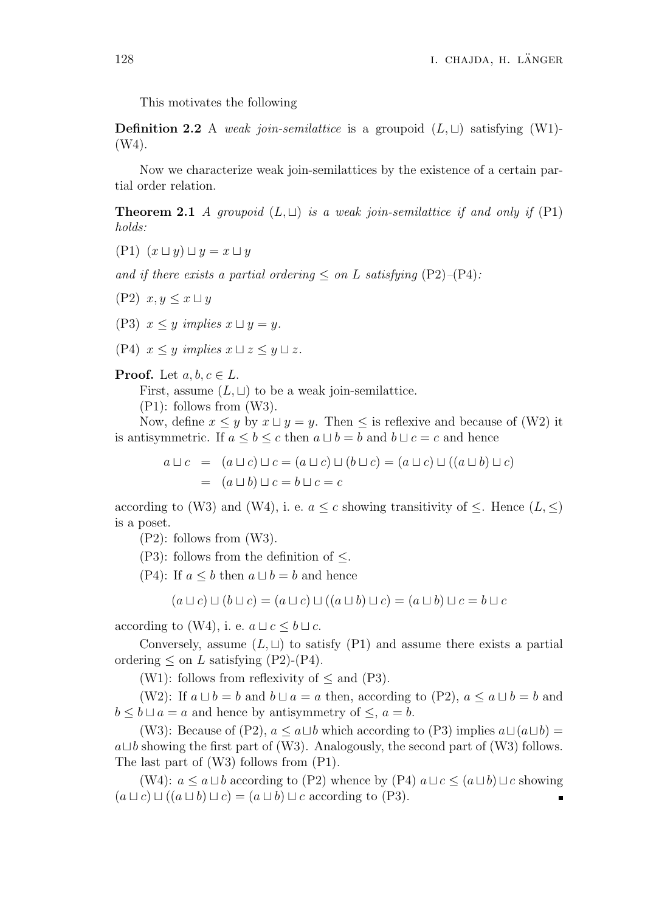This motivates the following

**Definition 2.2** A *weak join-semilattice* is a groupoid  $(L, \sqcup)$  satisfying (W1)-(W4).

Now we characterize weak join-semilattices by the existence of a certain partial order relation.

**Theorem 2.1** *A groupoid*  $(L, \sqcup)$  *is a weak join-semilattice if and only if*  $(P1)$ *holds:*

 $(P1)$   $(x \sqcup y) \sqcup y = x \sqcup y$ 

*and if there exists a partial ordering*  $\langle$  *on L satisfying* (P2)–(P4):

- (P2)  $x, y \leq x \sqcup y$
- (P3)  $x \leq y$  *implies*  $x \sqcup y = y$ *.*
- $(P4)$   $x \leq y$  *implies*  $x \sqcup z \leq y \sqcup z$ *.*

**Proof.** Let  $a, b, c \in L$ .

First, assume  $(L, \sqcup)$  to be a weak join-semilattice.

(P1): follows from (W3).

Now, define  $x \leq y$  by  $x \sqcup y = y$ . Then  $\leq$  is reflexive and because of (W2) it is antisymmetric. If  $a \leq b \leq c$  then  $a \sqcup b = b$  and  $b \sqcup c = c$  and hence

$$
a \sqcup c = (a \sqcup c) \sqcup c = (a \sqcup c) \sqcup (b \sqcup c) = (a \sqcup c) \sqcup ((a \sqcup b) \sqcup c)
$$
  
= 
$$
(a \sqcup b) \sqcup c = b \sqcup c = c
$$

according to (W3) and (W4), i. e.  $a \leq c$  showing transitivity of  $\leq$ . Hence  $(L, \leq)$ is a poset.

(P2): follows from (W3).

(P3): follows from the definition of *≤*.

(P4): If  $a \leq b$  then  $a \sqcup b = b$  and hence

$$
(a \sqcup c) \sqcup (b \sqcup c) = (a \sqcup c) \sqcup ((a \sqcup b) \sqcup c) = (a \sqcup b) \sqcup c = b \sqcup c
$$

according to (W4), i. e.  $a \sqcup c \leq b \sqcup c$ .

Conversely, assume  $(L, \sqcup)$  to satisfy (P1) and assume there exists a partial ordering  $\leq$  on *L* satisfying (P2)-(P4).

(W1): follows from reflexivity of *≤* and (P3).

(W2): If  $a \sqcup b = b$  and  $b \sqcup a = a$  then, according to (P2),  $a \le a \sqcup b = b$  and  $b \leq b \sqcup a = a$  and hence by antisymmetry of  $\leq$ ,  $a = b$ .

(W3): Because of (P2),  $a \leq a \sqcup b$  which according to (P3) implies  $a \sqcup (a \sqcup b) =$ *a⊔b* showing the first part of (W3). Analogously, the second part of (W3) follows. The last part of (W3) follows from (P1).

(W4):  $a \leq a \sqcup b$  according to (P2) whence by (P4)  $a \sqcup c \leq (a \sqcup b) \sqcup c$  showing  $(a \sqcup c) \sqcup ((a \sqcup b) \sqcup c) = (a \sqcup b) \sqcup c$  according to (P3). п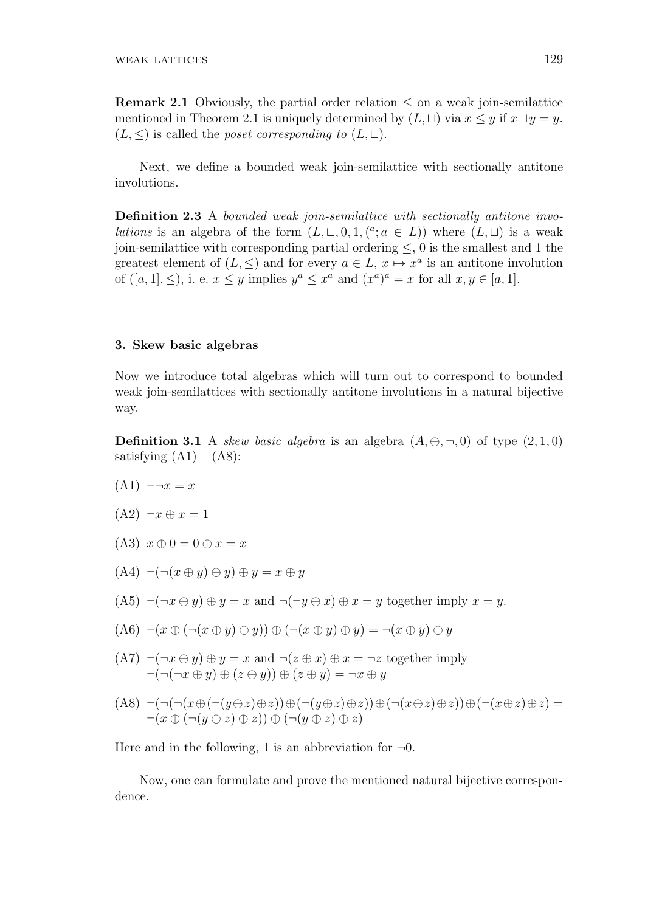**Remark 2.1** Obviously, the partial order relation *≤* on a weak join-semilattice mentioned in Theorem 2.1 is uniquely determined by  $(L, \Box)$  via  $x \leq y$  if  $x \sqcup y = y$ .  $(L, \leq)$  is called the *poset corresponding to*  $(L, \sqcup)$ .

Next, we define a bounded weak join-semilattice with sectionally antitone involutions.

**Definition 2.3** A *bounded weak join-semilattice with sectionally antitone involutions* is an algebra of the form  $(L, \sqcup, 0, 1, (^a; a \in L))$  where  $(L, \sqcup)$  is a weak join-semilattice with corresponding partial ordering *≤*, 0 is the smallest and 1 the greatest element of  $(L, \leq)$  and for every  $a \in L$ ,  $x \mapsto x^a$  is an antitone involution of  $([a, 1], \leq),$  i. e.  $x \leq y$  implies  $y^a \leq x^a$  and  $(x^a)^a = x$  for all  $x, y \in [a, 1].$ 

#### **3. Skew basic algebras**

Now we introduce total algebras which will turn out to correspond to bounded weak join-semilattices with sectionally antitone involutions in a natural bijective way.

**Definition 3.1** A *skew basic algebra* is an algebra  $(A, \oplus, \neg, 0)$  of type  $(2, 1, 0)$ satisfying  $(A1) - (A8)$ :

- $(A1)$   $\neg \neg x = x$
- $(A2) \neg x \oplus x = 1$
- $(A3)$   $x \oplus 0 = 0 \oplus x = x$
- $(A4)$   $\neg(\neg(x \oplus y) \oplus y) \oplus y = x \oplus y$
- $(A5)$   $\neg(\neg x \oplus y) \oplus y = x$  and  $\neg(\neg y \oplus x) \oplus x = y$  together imply  $x = y$ .
- $(A6)$   $\neg(x \oplus (-x \oplus y) \oplus y)$   $\oplus (-x \oplus y) \oplus y$   $\oplus y$
- $(A7)$   $\neg(\neg x \oplus y) \oplus y = x$  and  $\neg(z \oplus x) \oplus x = \neg z$  together imply  $\neg(\neg(\neg x \oplus y) \oplus (z \oplus y)) \oplus (z \oplus y) = \neg x \oplus y$
- $(A8) \neg(\neg(\neg(x \oplus (\neg(y \oplus z) \oplus z)) \oplus (\neg(y \oplus z) \oplus z)) \oplus (\neg(x \oplus z) \oplus z)) \oplus (\neg(x \oplus z) \oplus z) =$ *¬*(*x ⊕* (*¬*(*y ⊕ z*) *⊕ z*)) *⊕* (*¬*(*y ⊕ z*) *⊕ z*)

Here and in the following, 1 is an abbreviation for  $\neg$ 0.

Now, one can formulate and prove the mentioned natural bijective correspondence.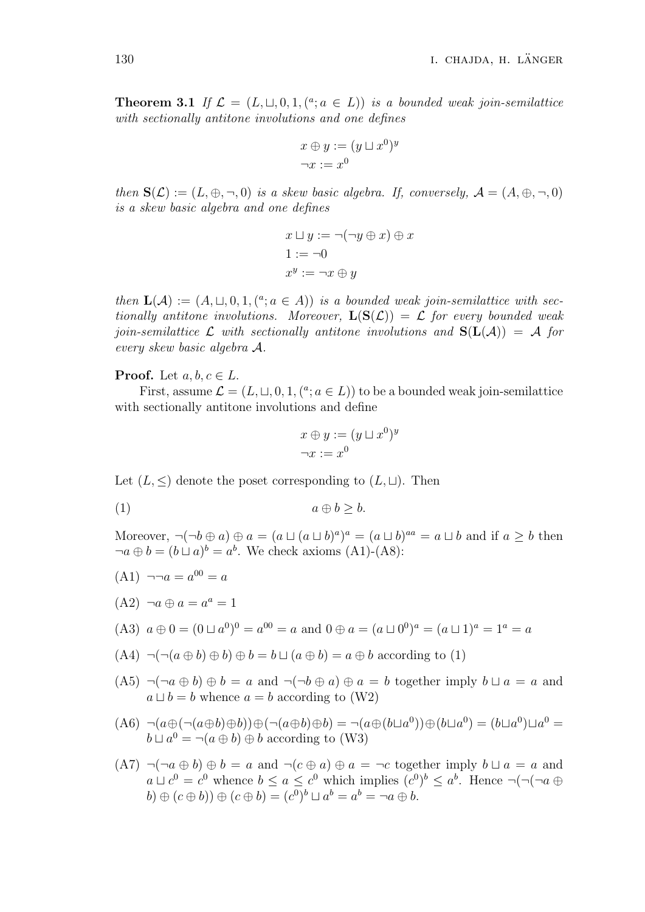**Theorem 3.1** If  $\mathcal{L} = (L, \sqcup, 0, 1, (^a; a \in L))$  is a bounded weak join-semilattice *with sectionally antitone involutions and one defines*

$$
x \oplus y := (y \sqcup x^0)^y
$$

$$
\neg x := x^0
$$

*then*  $\mathbf{S}(\mathcal{L}) := (L, \oplus, \neg, 0)$  *is a skew basic algebra. If, conversely,*  $\mathcal{A} = (A, \oplus, \neg, 0)$ *is a skew basic algebra and one defines*

$$
x \sqcup y := \neg(\neg y \oplus x) \oplus x
$$

$$
1 := \neg 0
$$

$$
x^y := \neg x \oplus y
$$

*then*  $\mathbf{L}(\mathcal{A}) := (A, \sqcup, 0, 1, (^a; a \in A))$  *is a bounded weak join-semilattice with sectionally antitone involutions. Moreover,*  $\mathbf{L}(\mathbf{S}(\mathcal{L})) = \mathcal{L}$  *for every bounded weak join-semilattice*  $\mathcal{L}$  *with sectionally antitone involutions and*  $S(L(\mathcal{A})) = \mathcal{A}$  *for every skew basic algebra A.*

**Proof.** Let  $a, b, c \in L$ .

First, assume  $\mathcal{L} = (L, \sqcup, 0, 1, (^a; a \in L))$  to be a bounded weak join-semilattice with sectionally antitone involutions and define

$$
x \oplus y := (y \sqcup x^0)^y
$$

$$
\neg x := x^0
$$

Let  $(L, \leq)$  denote the poset corresponding to  $(L, \sqcup)$ . Then

(1)  $a \oplus b > b.$ 

Moreover,  $\neg(\neg b \oplus a) \oplus a = (a \sqcup (a \sqcup b)^a)^a = (a \sqcup b)^{aa} = a \sqcup b$  and if  $a \geq b$  then  $\neg a \oplus b = (b \sqcup a)^b = a^b$ . We check axioms (A1)-(A8):

- $(A1)$   $\neg \neg a = a^{00} = a$
- $(A2) \neg a \oplus a = a^a = 1$
- $(A3)$   $a \oplus 0 = (0 \sqcup a^{0})^{0} = a^{00} = a$  and  $0 \oplus a = (a \sqcup 0^{0})^{a} = (a \sqcup 1)^{a} = 1^{a} = a$
- $(A4) \neg(\neg(a \oplus b) \oplus b) \oplus b = b \sqcup (a \oplus b) = a \oplus b$  according to (1)
- $(A5)$   $\neg(\neg a \oplus b) \oplus b = a$  and  $\neg(\neg b \oplus a) \oplus a = b$  together imply  $b \sqcup a = a$  and *a*  $□$  *b* = *b* whence *a* = *b* according to (W2)
- $(A6) \neg (a \oplus (\neg (a \oplus b) \oplus b)) \oplus (\neg (a \oplus b) \oplus b) = \neg (a \oplus (b \sqcup a^{0})) \oplus (b \sqcup a^{0}) = (b \sqcup a^{0}) \sqcup a^{0} =$ *b*  $\sqcup$  *a*<sup>0</sup> = ¬(*a*  $\oplus$  *b*)  $\oplus$  *b* according to (W3)
- $(A7)$   $\neg(\neg a \oplus b) \oplus b = a$  and  $\neg(c \oplus a) \oplus a = \neg c$  together imply  $b \sqcup a = a$  and  $a \sqcup c^0 = c^0$  whence  $b \le a \le c^0$  which implies  $(c^0)^b \le a^b$ . Hence  $\neg(\neg(\neg a \oplus$  $b) \oplus (c \oplus b)) \oplus (c \oplus b) = (c^0)^b \sqcup a^b = a^b = \neg a \oplus b.$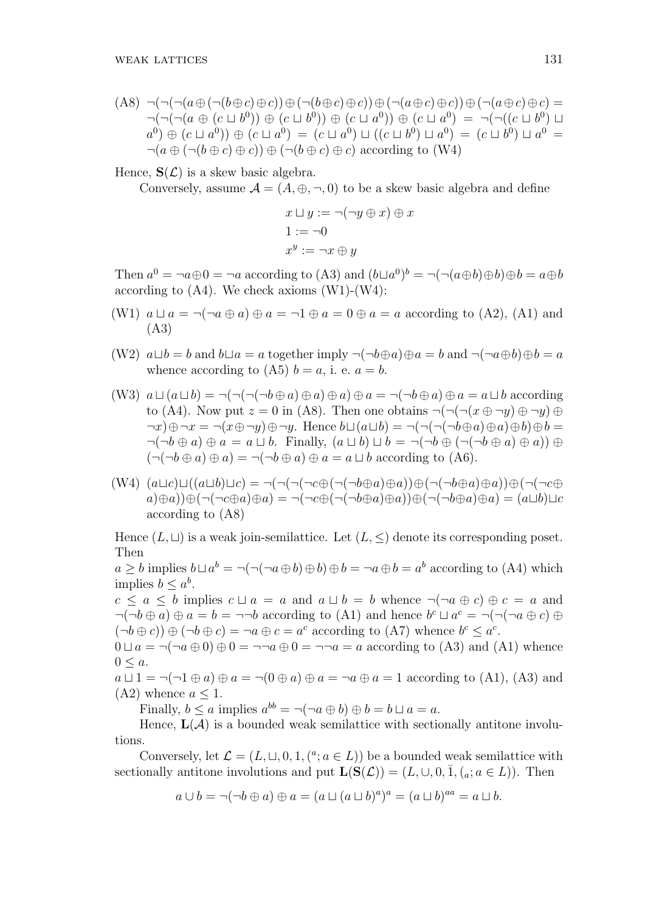$$
(A8) \neg(\neg(\neg(a \oplus (\neg(b \oplus c) \oplus c)) \oplus (\neg(b \oplus c) \oplus c)) \oplus (\neg(a \oplus c) \oplus c)) \oplus (\neg(a \oplus c) \oplus c) =
$$
  
\n
$$
\neg(\neg(\neg(a \oplus (c \sqcup b^{0})) \oplus (c \sqcup b^{0})) \oplus (c \sqcup a^{0})) \oplus (c \sqcup a^{0}) = \neg(\neg((c \sqcup b^{0}) \sqcup a^{0}) \oplus (c \sqcup a^{0})) \oplus (c \sqcup a^{0}) \oplus (c \sqcup a^{0}) \oplus (c \sqcup a^{0}) \oplus (c \sqcup b^{0}) \sqcup a^{0}) =
$$
  
\n
$$
\neg(a \oplus (\neg(b \oplus c) \oplus c)) \oplus (\neg(b \oplus c) \oplus c) \text{ according to (W4)}
$$

### Hence,  $S(\mathcal{L})$  is a skew basic algebra.

Conversely, assume  $A = (A, \oplus, \neg, 0)$  to be a skew basic algebra and define

$$
x \sqcup y := \neg(\neg y \oplus x) \oplus x
$$
  

$$
1 := \neg 0
$$
  

$$
x^y := \neg x \oplus y
$$

Then  $a^0 = \neg a \oplus 0 = \neg a$  according to (A3) and  $(b \sqcup a^0)^b = \neg(\neg (a \oplus b) \oplus b) \oplus b = a \oplus b$ according to  $(A4)$ . We check axioms  $(W1)-(W4)$ :

- (W1)  $a \sqcup a = \neg(\neg a \oplus a) \oplus a = \neg 1 \oplus a = 0 \oplus a = a$  according to (A2), (A1) and (A3)
- (W2)  $a \sqcup b = b$  and  $b \sqcup a = a$  together imply  $\neg(\neg b \oplus a) \oplus a = b$  and  $\neg(\neg a \oplus b) \oplus b = a$ whence according to  $(A5)$   $b = a$ , i. e.  $a = b$ .
- (W3)  $a \sqcup (a \sqcup b) = \neg(\neg(\neg(\neg b \oplus a) \oplus a) \oplus a) = \neg(\neg b \oplus a) \oplus a = a \sqcup b$  according to (A4). Now put  $z = 0$  in (A8). Then one obtains  $\neg(\neg(\neg(x \oplus \neg y) \oplus \neg y) \oplus$  $\neg x) \oplus \neg x = \neg(x \oplus \neg y) \oplus \neg y$ . Hence  $b \sqcup (a \sqcup b) = \neg(\neg(\neg(\neg b \oplus a) \oplus b) \oplus b =$  $\neg(\neg b \oplus a) \oplus a = a \sqcup b$ . Finally,  $(a \sqcup b) \sqcup b = \neg(\neg b \oplus (\neg(\neg b \oplus a) \oplus a)) \oplus$  $(\neg(\neg b \oplus a) \oplus a) = \neg(\neg b \oplus a) \oplus a = a \sqcup b$  according to (A6).
- $(W4) (a \sqcup c) \sqcup ((a \sqcup b) \sqcup c) = \neg(\neg(\neg(\neg c \oplus (\neg(\neg b \oplus a) \oplus a)) \oplus (\neg(\neg b \oplus a) \oplus a)) \oplus (\neg(\neg c \oplus a) \oplus (a \oplus b))$  $a(\oplus a)(\oplus ( \neg(\neg c \oplus a) \oplus a) = \neg(\neg c \oplus (\neg(\neg b \oplus a) \oplus a)) \oplus (\neg(\neg b \oplus a) \oplus a) = (a \sqcup b) \sqcup c$ according to (A8)

Hence  $(L, \sqcup)$  is a weak join-semilattice. Let  $(L, \leq)$  denote its corresponding poset. Then

 $a \geq b$  implies  $b \sqcup a^b = \neg(\neg(\neg a \oplus b) \oplus b) \oplus b = \neg a \oplus b = a^b$  according to (A4) which implies  $b \leq a^b$ .

 $c \leq a \leq b$  implies  $c \sqcup a = a$  and  $a \sqcup b = b$  whence  $\neg(\neg a \oplus c) \oplus c = a$  and  $\neg(\neg b \oplus a) \oplus a = b = \neg\neg b$  according to (A1) and hence  $b^c \sqcup a^c = \neg(\neg(\neg a \oplus c) \oplus b)$  $(\neg b \oplus c)) \oplus (\neg b \oplus c) = \neg a \oplus c = a^c$  according to (A7) whence  $b^c \leq a^c$ .

 $0 \sqcup a = \neg(\neg a \oplus 0) \oplus 0 = \neg \neg a \oplus 0 = \neg \neg a = a$  according to (A3) and (A1) whence  $0 < a$ .

 $a \sqcup 1 = \neg(\neg 1 \oplus a) \oplus a = \neg(0 \oplus a) \oplus a = \neg a \oplus a = 1$  according to (A1), (A3) and  $(A2)$  whence  $a \leq 1$ .

Finally,  $b \le a$  implies  $a^{bb} = \neg(\neg a \oplus b) \oplus b = b \sqcup a = a$ .

Hence,  $\mathbf{L}(\mathcal{A})$  is a bounded weak semilattice with sectionally antitone involutions.

Conversely, let  $\mathcal{L} = (L, \sqcup, 0, 1, (^a; a \in L))$  be a bounded weak semilattice with sectionally antitone involutions and put  $\mathbf{L}(\mathbf{S}(\mathcal{L})) = (L, \cup, 0, \overline{1}, (a; a \in L))$ . Then

$$
a \cup b = \neg(\neg b \oplus a) \oplus a = (a \sqcup (a \sqcup b)^a)^a = (a \sqcup b)^{aa} = a \sqcup b.
$$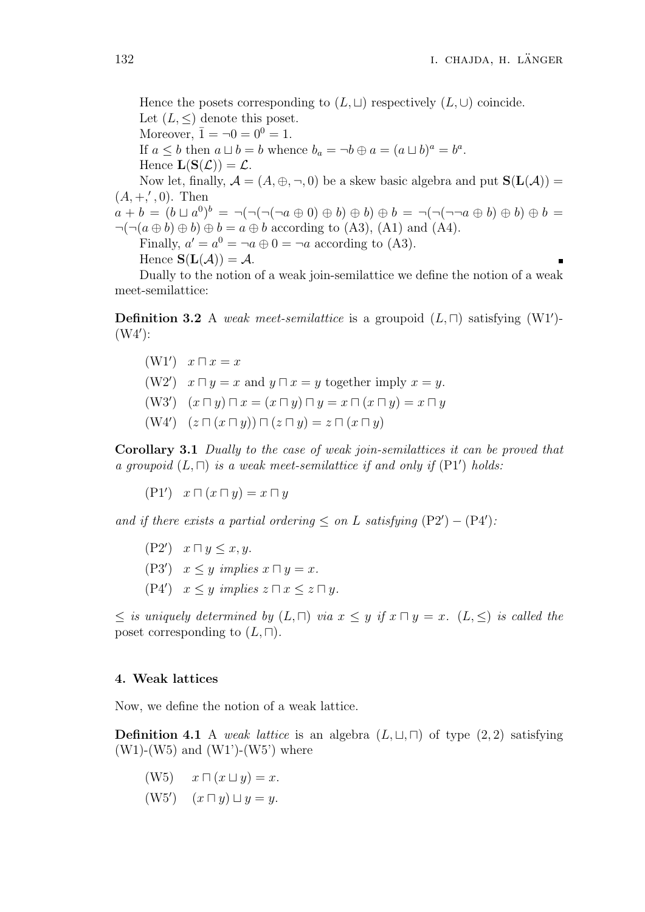Hence the posets corresponding to  $(L, \sqcup)$  respectively  $(L, \cup)$  coincide. Let  $(L, \leq)$  denote this poset. Moreover,  $\bar{1} = \neg 0 = 0^0 = 1$ . If  $a \leq b$  then  $a \sqcup b = b$  whence  $b_a = \neg b \oplus a = (a \sqcup b)^a = b^a$ . Hence  $\mathbf{L}(\mathbf{S}(\mathcal{L})) = \mathcal{L}$ . Now let, finally,  $A = (A, \oplus, \neg, 0)$  be a skew basic algebra and put  $S(L(A)) =$  $(A, +, ', 0)$ . Then  $a + b = (b \sqcup a^{0})^{b} = \neg(\neg(\neg(\neg a \oplus 0) \oplus b) \oplus b) \oplus b = \neg(\neg(\neg\neg a \oplus b) \oplus b) \oplus b =$  $\neg(\neg(a \oplus b) \oplus b) \oplus b = a \oplus b$  according to (A3), (A1) and (A4). Finally,  $a' = a^0 = \neg a \oplus 0 = \neg a$  according to (A3). Hence  $S(L(\mathcal{A})) = \mathcal{A}$ . Dually to the notion of a weak join-semilattice we define the notion of a weak meet-semilattice:

**Definition 3.2** A *weak meet-semilattice* is a groupoid (*L, ⊓*) satisfying (W1*′* )- (W4*′* ):

- (W1*′* ) *x ⊓ x* = *x*
- (W2<sup>*′*</sup>)  $x \sqcap y = x$  and  $y \sqcap x = y$  together imply  $x = y$ .
- (W3*′* ) (*x ⊓ y*) *⊓ x* = (*x ⊓ y*) *⊓ y* = *x ⊓* (*x ⊓ y*) = *x ⊓ y*
- (W4*′* ) (*z ⊓* (*x ⊓ y*)) *⊓* (*z ⊓ y*) = *z ⊓* (*x ⊓ y*)

**Corollary 3.1** *Dually to the case of weak join-semilattices it can be proved that a groupoid*  $(L, \Pi)$  *is a weak meet-semilattice if and only if*  $(PI')$  *holds:* 

$$
(\mathbf{P1'}) \quad x \sqcap (x \sqcap y) = x \sqcap y
$$

*and if there exists a partial ordering*  $\leq$  *on L satisfying*  $(P2') - (P4')$ *:* 

(P2*′* ) *x ⊓ y ≤ x, y.*  $(P3')$   $x \leq y$  *implies*  $x \sqcap y = x$ *.*  $(P4')$   $x \leq y$  *implies*  $z \sqcap x \leq z \sqcap y$ *.* 

*≤ is uniquely determined by* (*L, ⊓*) *via x ≤ y if x ⊓ y* = *x.* (*L, ≤*) *is called the* poset corresponding to  $(L, \Box)$ *.* 

#### **4. Weak lattices**

Now, we define the notion of a weak lattice.

**Definition 4.1** A *weak lattice* is an algebra  $(L, \sqcup, \sqcap)$  of type  $(2, 2)$  satisfying  $(W1)-(W5)$  and  $(W1')-(W5)$  where

- $f(W5)$  *x*  $\Box$   $(x \sqcup y) = x$ .
- (W5*′* ) (*x ⊓ y*) *⊔ y* = *y*.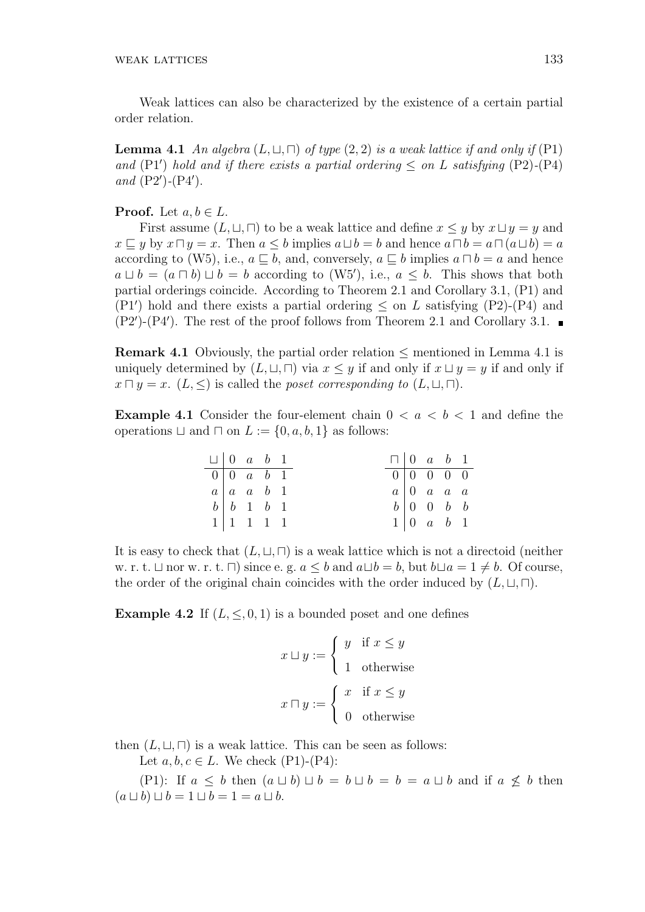Weak lattices can also be characterized by the existence of a certain partial order relation.

**Lemma 4.1** *An algebra*  $(L, \sqcup, \sqcap)$  *of type*  $(2, 2)$  *is a weak lattice if and only if*  $(\text{P1})$ *and* (P1<sup>*'*</sup>) *hold and if there exists a partial ordering*  $\leq$  *on L satisfying* (P2)*-*(P4) *and* (P2*′* )*-*(P4*′* )*.*

### **Proof.** Let  $a, b \in L$ .

First assume  $(L, \sqcup, \sqcap)$  to be a weak lattice and define  $x \leq y$  by  $x \sqcup y = y$  and  $x \sqsubseteq y$  by  $x \sqcap y = x$ . Then  $a \leq b$  implies  $a \sqcup b = b$  and hence  $a \sqcap b = a \sqcap (a \sqcup b) = a$ according to (W5), i.e.,  $a \sqsubset b$ , and, conversely,  $a \sqsubset b$  implies  $a \sqcap b = a$  and hence *a*  $\sqcup$  *b* = (*a*  $\sqcap$  *b*)  $\sqcup$  *b* = *b* according to (W5'), i.e., *a* ≤ *b*. This shows that both partial orderings coincide. According to Theorem 2.1 and Corollary 3.1, (P1) and (P1<sup>'</sup>) hold and there exists a partial ordering  $\leq$  on *L* satisfying (P2)-(P4) and (P2*′* )-(P4*′* ). The rest of the proof follows from Theorem 2.1 and Corollary 3.1.

**Remark 4.1** Obviously, the partial order relation *≤* mentioned in Lemma 4.1 is uniquely determined by  $(L, \sqcup, \sqcap)$  via  $x \leq y$  if and only if  $x \sqcup y = y$  if and only if  $x \sqcap y = x$ . (*L,*  $\leq$ ) is called the *poset corresponding to* (*L,*  $\sqcup$ *,*  $\sqcap$ ).

**Example 4.1** Consider the four-element chain  $0 < a < b < 1$  and define the operations  $\sqcup$  and  $\sqcap$  on  $L := \{0, a, b, 1\}$  as follows:

|  | $\Box$   0 \ a \ b \ 1             |  | $\Box$ 0 a b 1 |                                     |  |
|--|------------------------------------|--|----------------|-------------------------------------|--|
|  | $0 \mid 0 \quad a \quad b \quad 1$ |  | $0$ 0 0 0 0    |                                     |  |
|  | $a \mid a \mid a \mid b \mid 1$    |  |                | $a \mid 0$ a a a                    |  |
|  | $b \mid b \quad 1 \quad b \quad 1$ |  |                | $b \mid 0 \quad 0 \quad b \quad b$  |  |
|  | $1 \mid 1 \mid 1 \mid 1 \mid 1$    |  |                | $1 \vert 0 \quad a \quad b \quad 1$ |  |

It is easy to check that  $(L, \sqcup, \sqcap)$  is a weak lattice which is not a directoid (neither w. r. t. *⊔* nor w. r. t. *⊓*) since e. g.  $a \leq b$  and  $a \sqcup b = b$ , but  $b \sqcup a = 1 \neq b$ . Of course, the order of the original chain coincides with the order induced by  $(L, \sqcup, \sqcap)$ .

**Example 4.2** If  $(L, \leq, 0, 1)$  is a bounded poset and one defines

$$
x \sqcup y := \begin{cases} y & \text{if } x \leq y \\ 1 & \text{otherwise} \end{cases}
$$

$$
x \sqcap y := \begin{cases} x & \text{if } x \leq y \\ 0 & \text{otherwise} \end{cases}
$$

then  $(L, \sqcup, \sqcap)$  is a weak lattice. This can be seen as follows:

Let *a*, *b*, *c* ∈ *L*. We check (P1)-(P4):

(P1): If  $a \leq b$  then  $(a \sqcup b) \sqcup b = b \sqcup b = b = a \sqcup b$  and if  $a \not\leq b$  then  $(a \sqcup b) \sqcup b = 1 \sqcup b = 1 = a \sqcup b.$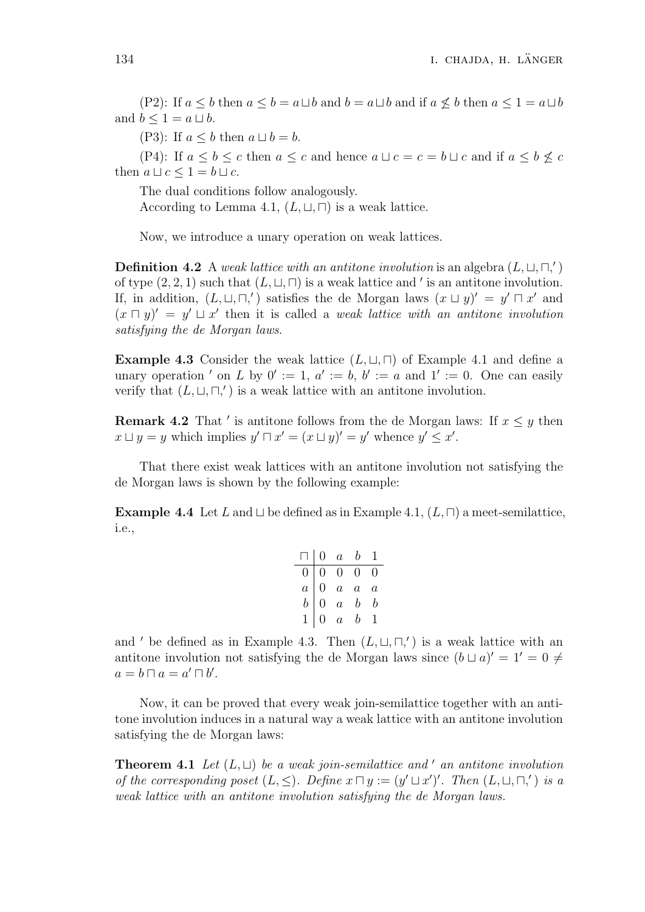(P2): If  $a \leq b$  then  $a \leq b = a \sqcup b$  and  $b = a \sqcup b$  and if  $a \nleq b$  then  $a \leq 1 = a \sqcup b$ and  $b \leq 1 = a \sqcup b$ .

(P3): If  $a \leq b$  then  $a \sqcup b = b$ .

(P4): If  $a \leq b \leq c$  then  $a \leq c$  and hence  $a \sqcup c = c = b \sqcup c$  and if  $a \leq b \nleq c$ then  $a \sqcup c \leq 1 = b \sqcup c$ .

The dual conditions follow analogously.

According to Lemma 4.1,  $(L, \sqcup, \sqcap)$  is a weak lattice.

Now, we introduce a unary operation on weak lattices.

**Definition 4.2** A *weak lattice with an antitone involution* is an algebra  $(L, \sqcup, \sqcap,')$ of type  $(2, 2, 1)$  such that  $(L, \sqcup, \sqcap)$  is a weak lattice and *'* is an antitone involution. If, in addition,  $(L, \sqcup, \sqcap,')$  satisfies the de Morgan laws  $(x \sqcup y)' = y' \sqcap x'$  and  $(x \cap y)' = y' \sqcup x'$  then it is called a *weak lattice with an antitone involution satisfying the de Morgan laws*.

**Example 4.3** Consider the weak lattice  $(L, \sqcup, \sqcap)$  of Example 4.1 and define a unary operation *'* on *L* by  $0' := 1$ ,  $a' := b$ ,  $b' := a$  and  $1' := 0$ . One can easily verify that  $(L, \sqcup, \sqcap,')$  is a weak lattice with an antitone involution.

**Remark 4.2** That *'* is antitone follows from the de Morgan laws: If  $x \leq y$  then  $x \sqcup y = y$  which implies  $y' \sqcap x' = (x \sqcup y)' = y'$  whence  $y' \leq x'$ .

That there exist weak lattices with an antitone involution not satisfying the de Morgan laws is shown by the following example:

**Example 4.4** Let *L* and  $\sqcup$  be defined as in Example 4.1,  $(L, \sqcap)$  a meet-semilattice, i.e.,

| П.             |                | $0 \quad a \quad b$ |                  | I.               |
|----------------|----------------|---------------------|------------------|------------------|
| $\overline{0}$ |                | $0\quad 0\quad 0$   |                  | $\theta$         |
| $\overline{a}$ | $\overline{0}$ | $\overline{a}$      | $\boldsymbol{a}$ | $\boldsymbol{a}$ |
| $\bar{b}$      | O              | $\overline{a}$      | $\boldsymbol{b}$ | h                |
|                | 0              | $\overline{a}$      | $\bm{b}$         |                  |

and *'* be defined as in Example 4.3. Then  $(L, \sqcup, \sqcap,')$  is a weak lattice with an antitone involution not satisfying the de Morgan laws since  $(b \sqcup a)' = 1' = 0 \neq$  $a = b \sqcap a = a' \sqcap b'.$ 

Now, it can be proved that every weak join-semilattice together with an antitone involution induces in a natural way a weak lattice with an antitone involution satisfying the de Morgan laws:

**Theorem 4.1** *Let* (*L, ⊔*) *be a weak join-semilattice and ′ an antitone involution* of the corresponding poset  $(L, \leq)$ . Define  $x \sqcap y := (y' \sqcup x')'$ . Then  $(L, \sqcup, \sqcap,')$  is a *weak lattice with an antitone involution satisfying the de Morgan laws.*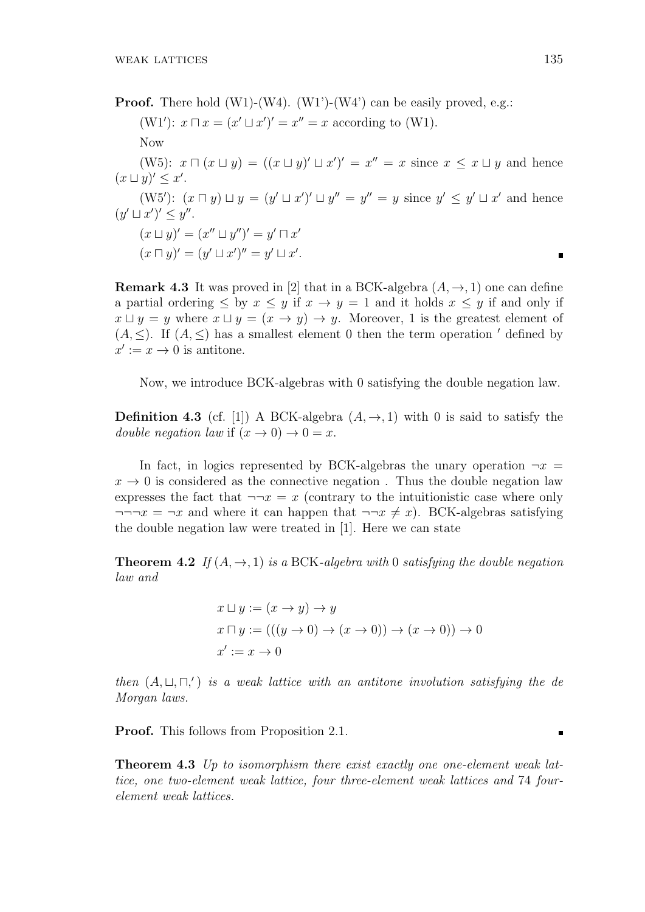**Proof.** There hold (W1)-(W4). (W1')-(W4') can be easily proved, e.g.:  $(W1')$ :  $x \sqcap x = (x' \sqcup x')' = x'' = x$  according to  $(W1)$ . Now  $(W5): x \sqcap (x \sqcup y) = ((x \sqcup y)' \sqcup x')' = x'' = x$  since  $x \leq x \sqcup y$  and hence  $(x \sqcup y)' \leq x'$ .  $(W5')$ :  $(x \sqcap y) \sqcup y = (y' \sqcup x')' \sqcup y'' = y'' = y$  since  $y' \leq y' \sqcup x'$  and hence  $(y' \sqcup x')' \leq y''$ .  $(x \sqcup y)' = (x'' \sqcup y'')' = y' \sqcap x'$  $(x \sqcap y)' = (y' \sqcup x')'' = y' \sqcup x'.$  $\blacksquare$ 

**Remark 4.3** It was proved in [2] that in a BCK-algebra  $(A, \rightarrow, 1)$  one can define a partial ordering  $\leq$  by  $x \leq y$  if  $x \to y = 1$  and it holds  $x \leq y$  if and only if  $x \sqcup y = y$  where  $x \sqcup y = (x \rightarrow y) \rightarrow y$ . Moreover, 1 is the greatest element of  $(A, \leq)$ . If  $(A, \leq)$  has a smallest element 0 then the term operation *'* defined by  $x' := x \to 0$  is antitone.

Now, we introduce BCK-algebras with 0 satisfying the double negation law.

**Definition 4.3** (cf. [1]) A BCK-algebra  $(A, \rightarrow, 1)$  with 0 is said to satisfy the *double negation law* if  $(x \to 0) \to 0 = x$ .

In fact, in logics represented by BCK-algebras the unary operation  $\neg x$  $x \to 0$  is considered as the connective negation. Thus the double negation law expresses the fact that  $\neg x = x$  (contrary to the intuitionistic case where only  $\neg\neg\neg x = \neg x$  and where it can happen that  $\neg\neg x \neq x$ ). BCK-algebras satisfying the double negation law were treated in [1]. Here we can state

**Theorem 4.2** *If*  $(A, \rightarrow, 1)$  *is a* BCK-*algebra with* 0 *satisfying the double negation law and*

$$
x \sqcup y := (x \to y) \to y
$$
  
\n
$$
x \sqcap y := (((y \to 0) \to (x \to 0)) \to (x \to 0)) \to 0
$$
  
\n
$$
x' := x \to 0
$$

*then*  $(A, \sqcup, \sqcap,')$  *is a weak lattice with an antitone involution satisfying the de Morgan laws.*

**Proof.** This follows from Proposition 2.1.

**Theorem 4.3** *Up to isomorphism there exist exactly one one-element weak lattice, one two-element weak lattice, four three-element weak lattices and* 74 *fourelement weak lattices.*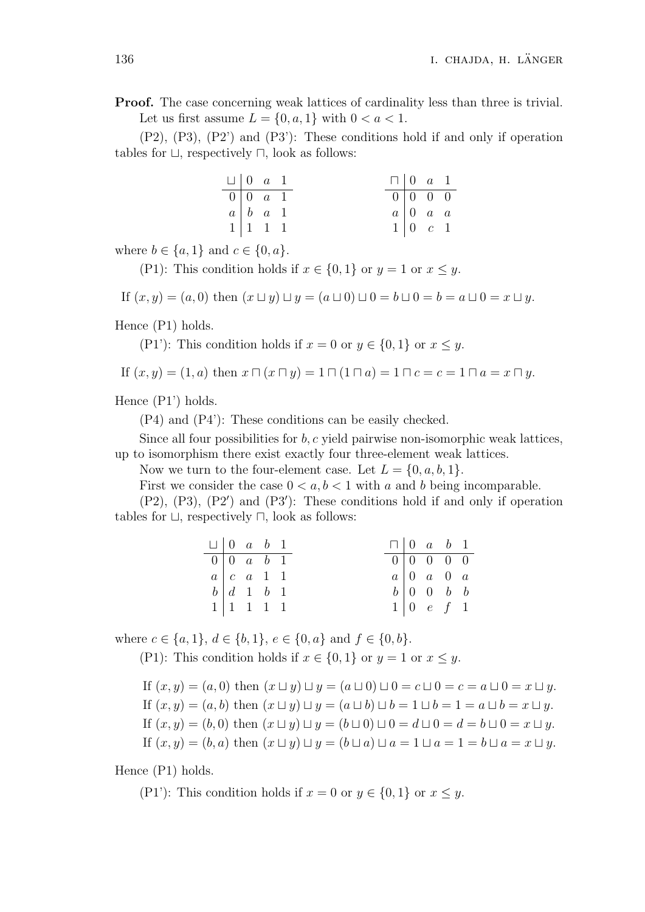**Proof.** The case concerning weak lattices of cardinality less than three is trivial. Let us first assume  $L = \{0, a, 1\}$  with  $0 < a < 1$ .

(P2), (P3), (P2') and (P3'): These conditions hold if and only if operation tables for *⊔*, respectively *⊓*, look as follows:

|  | $\Box$ 0 a 1                                    |  | $\Box$ 0 $a$ 1 |                                                 |  |
|--|-------------------------------------------------|--|----------------|-------------------------------------------------|--|
|  | $\boxed{0}$ $\boxed{0}$ $\boxed{a}$ $\boxed{1}$ |  |                | $\boxed{0}$ $\boxed{0}$ $\boxed{0}$ $\boxed{0}$ |  |
|  | $a \mid b \mid a \mid 1$                        |  | $a \mid 0$ a a |                                                 |  |
|  | $1 \mid 1 \quad 1 \quad 1$                      |  |                | $1 \vert 0 \quad c \quad 1$                     |  |

where  $b \in \{a, 1\}$  and  $c \in \{0, a\}$ .

(P1): This condition holds if  $x \in \{0, 1\}$  or  $y = 1$  or  $x \leq y$ .

If  $(x, y) = (a, 0)$  then  $(x \sqcup y) \sqcup y = (a \sqcup 0) \sqcup 0 = b \sqcup 0 = b = a \sqcup 0 = x \sqcup y$ .

Hence (P1) holds.

(P1'): This condition holds if  $x = 0$  or  $y \in \{0, 1\}$  or  $x \leq y$ .

If 
$$
(x, y) = (1, a)
$$
 then  $x \sqcap (x \sqcap y) = 1 \sqcap (1 \sqcap a) = 1 \sqcap c = c = 1 \sqcap a = x \sqcap y$ .

Hence (P1') holds.

(P4) and (P4'): These conditions can be easily checked.

Since all four possibilities for *b, c* yield pairwise non-isomorphic weak lattices, up to isomorphism there exist exactly four three-element weak lattices.

Now we turn to the four-element case. Let  $L = \{0, a, b, 1\}$ .

First we consider the case  $0 < a, b < 1$  with a and b being incomparable.

(P2), (P3), (P2*′* ) and (P3*′* ): These conditions hold if and only if operation tables for *⊔*, respectively *⊓*, look as follows:

| $\Box$ 0 a b 1 |                                    |  |  | $\Box$ 0 a b 1                  |                                     |  |
|----------------|------------------------------------|--|--|---------------------------------|-------------------------------------|--|
|                | $0 \vert 0 \ a \ b \ 1$            |  |  | $0 \mid 0 \mid 0 \mid 0 \mid 0$ |                                     |  |
|                | $a \mid c \quad a \quad 1 \quad 1$ |  |  |                                 | $a \mid 0 \quad a \quad 0 \quad a$  |  |
|                | $b \mid d \quad 1 \quad b \quad 1$ |  |  |                                 | $b \mid 0 \mid 0 \mid b \mid b$     |  |
|                | $1 \mid 1 \mid 1 \mid 1 \mid 1$    |  |  |                                 | $1 \vert 0 \quad e \quad f \quad 1$ |  |

where  $c \in \{a, 1\}$ ,  $d \in \{b, 1\}$ ,  $e \in \{0, a\}$  and  $f \in \{0, b\}$ .

(P1): This condition holds if  $x \in \{0, 1\}$  or  $y = 1$  or  $x \leq y$ .

If  $(x, y) = (a, 0)$  then  $(x \sqcup y) \sqcup y = (a \sqcup 0) \sqcup 0 = c \sqcup 0 = c = a \sqcup 0 = x \sqcup y$ . If  $(x, y) = (a, b)$  then  $(x \sqcup y) \sqcup y = (a \sqcup b) \sqcup b = 1 \sqcup b = 1 = a \sqcup b = x \sqcup y$ . If  $(x, y) = (b, 0)$  then  $(x \sqcup y) \sqcup y = (b \sqcup 0) \sqcup 0 = d \sqcup 0 = d = b \sqcup 0 = x \sqcup y$ . If  $(x, y) = (b, a)$  then  $(x \sqcup y) \sqcup y = (b \sqcup a) \sqcup a = 1 \sqcup a = 1 = b \sqcup a = x \sqcup y$ .

Hence (P1) holds.

(P1<sup>'</sup>): This condition holds if  $x = 0$  or  $y \in \{0, 1\}$  or  $x \leq y$ .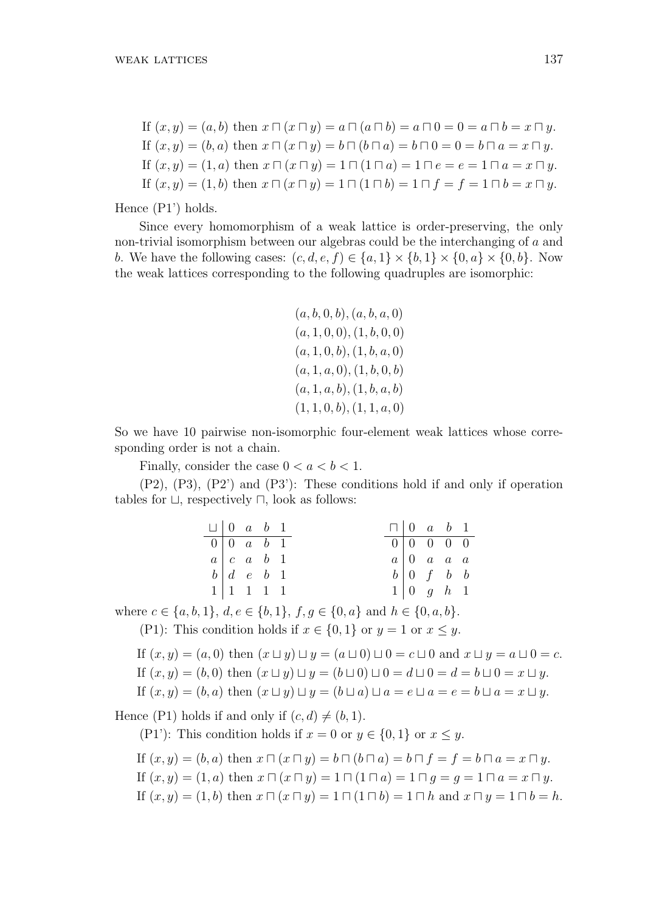If  $(x, y) = (a, b)$  then  $x \sqcap (x \sqcap y) = a \sqcap (a \sqcap b) = a \sqcap 0 = 0 = a \sqcap b = x \sqcap y$ . If  $(x, y) = (b, a)$  then  $x \sqcap (x \sqcap y) = b \sqcap (b \sqcap a) = b \sqcap 0 = 0 = b \sqcap a = x \sqcap y$ . If  $(x, y) = (1, a)$  then  $x \sqcap (x \sqcap y) = 1 \sqcap (1 \sqcap a) = 1 \sqcap e = e = 1 \sqcap a = x \sqcap y$ . If  $(x, y) = (1, b)$  then  $x \sqcap (x \sqcap y) = 1 \sqcap (1 \sqcap b) = 1 \sqcap f = f = 1 \sqcap b = x \sqcap y$ .

Hence (P1') holds.

Since every homomorphism of a weak lattice is order-preserving, the only non-trivial isomorphism between our algebras could be the interchanging of *a* and *b*. We have the following cases:  $(c, d, e, f) \in \{a, 1\} \times \{b, 1\} \times \{0, a\} \times \{0, b\}$ . Now the weak lattices corresponding to the following quadruples are isomorphic:

$$
(a, b, 0, b), (a, b, a, 0)
$$
  

$$
(a, 1, 0, 0), (1, b, 0, 0)
$$
  

$$
(a, 1, 0, b), (1, b, a, 0)
$$
  

$$
(a, 1, a, 0), (1, b, 0, b)
$$
  

$$
(a, 1, a, b), (1, b, a, b)
$$
  

$$
(1, 1, 0, b), (1, 1, a, 0)
$$

So we have 10 pairwise non-isomorphic four-element weak lattices whose corresponding order is not a chain.

Finally, consider the case  $0 < a < b < 1$ .

(P2), (P3), (P2') and (P3'): These conditions hold if and only if operation tables for *⊔*, respectively *⊓*, look as follows:

|  | $\Box$   0 \ a \ b \ 1             |  |                                    | $\Box$ 0 a b 1                  |  |
|--|------------------------------------|--|------------------------------------|---------------------------------|--|
|  | $0 \mid 0 \quad a \quad b \quad 1$ |  | $0 \mid 0 \quad 0 \quad 0 \quad 0$ |                                 |  |
|  | $a \mid c \mid a \mid b \mid 1$    |  |                                    | $a \mid 0$ a a a                |  |
|  | $b \mid d \neq b \mid 1$           |  |                                    | $b \mid 0 \mid f \mid b \mid b$ |  |
|  | $1 \vert 1 \ 1 \ 1 \ 1$            |  |                                    | $1 \vert 0 \t g \t h \t 1$      |  |

where  $c \in \{a, b, 1\}$ ,  $d, e \in \{b, 1\}$ ,  $f, g \in \{0, a\}$  and  $h \in \{0, a, b\}$ .

(P1): This condition holds if  $x \in \{0, 1\}$  or  $y = 1$  or  $x \leq y$ .

If 
$$
(x, y) = (a, 0)
$$
 then  $(x \sqcup y) \sqcup y = (a \sqcup 0) \sqcup 0 = c \sqcup 0$  and  $x \sqcup y = a \sqcup 0 = c$ .  
If  $(x, y) = (b, 0)$  then  $(x \sqcup y) \sqcup y = (b \sqcup 0) \sqcup 0 = d \sqcup 0 = d = b \sqcup 0 = x \sqcup y$ .

If 
$$
(x, y) = (b, a)
$$
 then  $(x \sqcup y) \sqcup y = (b \sqcup a) \sqcup a = e \sqcup a = e = b \sqcup a = x \sqcup y$ .

Hence (P1) holds if and only if  $(c, d) \neq (b, 1)$ .

(P1'): This condition holds if  $x = 0$  or  $y \in \{0, 1\}$  or  $x \leq y$ .

If 
$$
(x, y) = (b, a)
$$
 then  $x \sqcap (x \sqcap y) = b \sqcap (b \sqcap a) = b \sqcap f = f = b \sqcap a = x \sqcap y$ .  
\nIf  $(x, y) = (1, a)$  then  $x \sqcap (x \sqcap y) = 1 \sqcap (1 \sqcap a) = 1 \sqcap g = g = 1 \sqcap a = x \sqcap y$ .  
\nIf  $(x, y) = (1, b)$  then  $x \sqcap (x \sqcap y) = 1 \sqcap (1 \sqcap b) = 1 \sqcap h$  and  $x \sqcap y = 1 \sqcap b = h$ .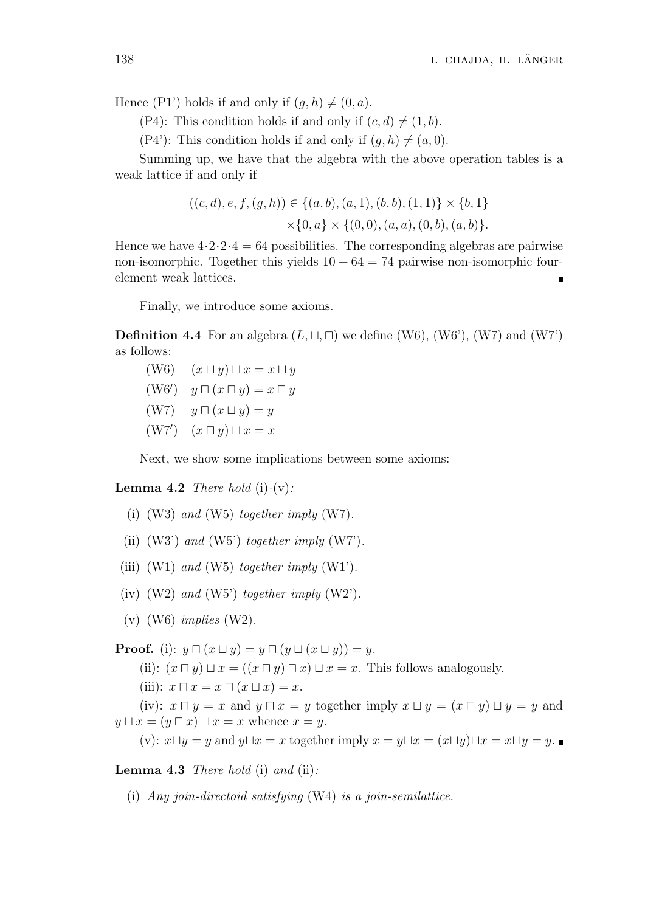Hence (P1') holds if and only if  $(q, h) \neq (0, a)$ .

(P4): This condition holds if and only if  $(c, d) \neq (1, b)$ .

(P4'): This condition holds if and only if  $(q, h) \neq (a, 0)$ .

Summing up, we have that the algebra with the above operation tables is a weak lattice if and only if

$$
((c,d), e, f, (g,h)) \in \{(a,b), (a,1), (b,b), (1,1)\} \times \{b,1\}
$$

$$
\times \{0, a\} \times \{(0,0), (a,a), (0,b), (a,b)\}.
$$

Hence we have  $4 \cdot 2 \cdot 2 \cdot 4 = 64$  possibilities. The corresponding algebras are pairwise non-isomorphic. Together this yields  $10 + 64 = 74$  pairwise non-isomorphic fourelement weak lattices.

Finally, we introduce some axioms.

**Definition 4.4** For an algebra  $(L, \sqcup, \sqcap)$  we define (W6), (W6'), (W7) and (W7') as follows:

 $(W6)$   $(x \sqcup y) \sqcup x = x \sqcup y$ (W6*′* ) *y ⊓* (*x ⊓ y*) = *x ⊓ y* (W7) *y ⊓* (*x ⊔ y*) = *y* (W7*′* ) (*x ⊓ y*) *⊔ x* = *x*

Next, we show some implications between some axioms:

**Lemma 4.2** *There hold* (i) $-(v)$ *:* 

- (i) (W3) *and* (W5) *together imply* (W7)*.*
- (ii) (W3') *and* (W5') *together imply* (W7')*.*
- (iii)  $(W1)$  *and*  $(W5)$  *together imply*  $(W1')$ *.*
- (iv) (W2) *and* (W5') *together imply* (W2')*.*
- (v) (W6) *implies* (W2)*.*

**Proof.** (i):  $y \sqcap (x \sqcup y) = y \sqcap (y \sqcup (x \sqcup y)) = y$ . (ii):  $(x \sqcap y) \sqcup x = ((x \sqcap y) \sqcap x) \sqcup x = x$ . This follows analogously. (iii):  $x \sqcap x = x \sqcap (x \sqcup x) = x$ . (iv):  $x \sqcap y = x$  and  $y \sqcap x = y$  together imply  $x \sqcup y = (x \sqcap y) \sqcup y = y$  and  $y \sqcup x = (y \sqcap x) \sqcup x = x$  whence  $x = y$ .  $(v): x \sqcup y = y$  and  $y \sqcup x = x$  together imply  $x = y \sqcup x = (x \sqcup y) \sqcup x = x \sqcup y = y$ .

**Lemma 4.3** *There hold* (i) *and* (ii)*:*

(i) *Any join-directoid satisfying* (W4) *is a join-semilattice.*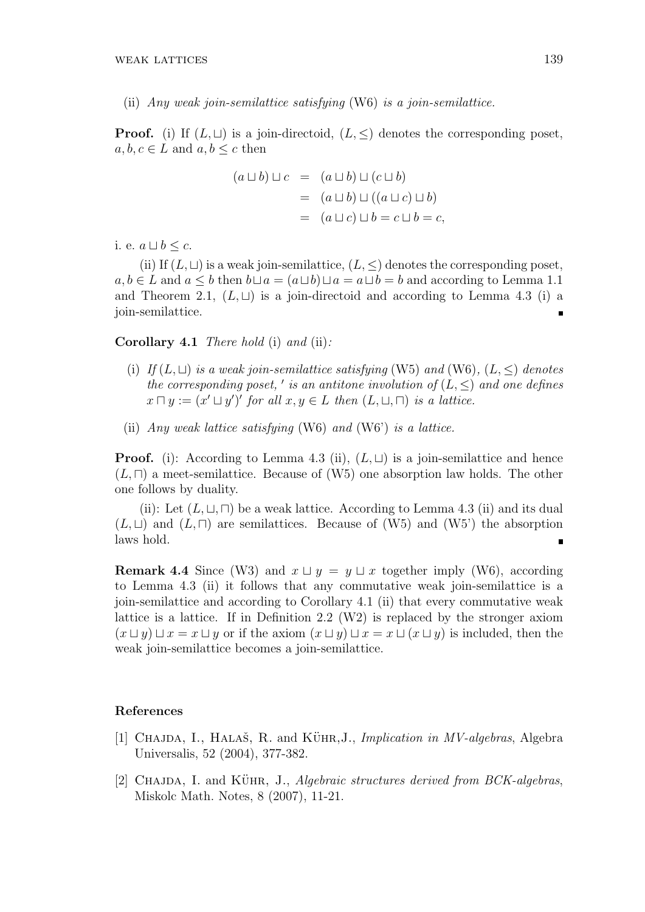(ii) *Any weak join-semilattice satisfying* (W6) *is a join-semilattice.*

**Proof.** (i) If  $(L, \sqcup)$  is a join-directoid,  $(L, \leq)$  denotes the corresponding poset,  $a, b, c \in L$  and  $a, b \leq c$  then

$$
(a \sqcup b) \sqcup c = (a \sqcup b) \sqcup (c \sqcup b)
$$
  
= 
$$
(a \sqcup b) \sqcup ((a \sqcup c) \sqcup b)
$$
  
= 
$$
(a \sqcup c) \sqcup b = c \sqcup b = c,
$$

i. e.  $a ⊔ b ≤ c$ .

(ii) If  $(L, ⊔)$  is a weak join-semilattice,  $(L, ⊆)$  denotes the corresponding poset, *a, b* ∈ *L* and *a*  $\lt$  *b* then  $b \sqcup a = (a \sqcup b) \sqcup a = a \sqcup b = b$  and according to Lemma 1.1 and Theorem 2.1,  $(L, \sqcup)$  is a join-directoid and according to Lemma 4.3 (i) a join-semilattice. É

**Corollary 4.1** *There hold* (i) *and* (ii)*:*

- (i) *If* (*L, ⊔*) *is a weak join-semilattice satisfying* (W5) *and* (W6)*,* (*L, ≤*) *denotes the corresponding poset, ' is an antitone involution of*  $(L, \leq)$  *and one defines*  $x \sqcap y := (x' \sqcup y')'$  *for all*  $x, y \in L$  *then*  $(L, \sqcup, \sqcap)$  *is a lattice.*
- (ii) *Any weak lattice satisfying* (W6) *and* (W6') *is a lattice.*

**Proof.** (i): According to Lemma 4.3 (ii),  $(L, \sqcup)$  is a join-semilattice and hence (*L, ⊓*) a meet-semilattice. Because of (W5) one absorption law holds. The other one follows by duality.

(ii): Let  $(L, \sqcup, \sqcap)$  be a weak lattice. According to Lemma 4.3 (ii) and its dual  $(L, ⊔)$  and  $(L, ⊓)$  are semilattices. Because of  $(W5)$  and  $(W5')$  the absorption laws hold.

**Remark 4.4** Since (W3) and  $x \sqcup y = y \sqcup x$  together imply (W6), according to Lemma 4.3 (ii) it follows that any commutative weak join-semilattice is a join-semilattice and according to Corollary 4.1 (ii) that every commutative weak lattice is a lattice. If in Definition 2.2 (W2) is replaced by the stronger axiom  $(x \cup y) \cup x = x \cup y$  or if the axiom  $(x \cup y) \cup x = x \cup (x \cup y)$  is included, then the weak join-semilattice becomes a join-semilattice.

### **References**

- [1] CHAJDA, I., HALAŠ, R. and KÜHR, J., *Implication in MV-algebras*, Algebra Universalis, 52 (2004), 377-382.
- [2] CHAJDA, I. and KÜHR, J., *Algebraic structures derived from BCK-algebras*, Miskolc Math. Notes, 8 (2007), 11-21.